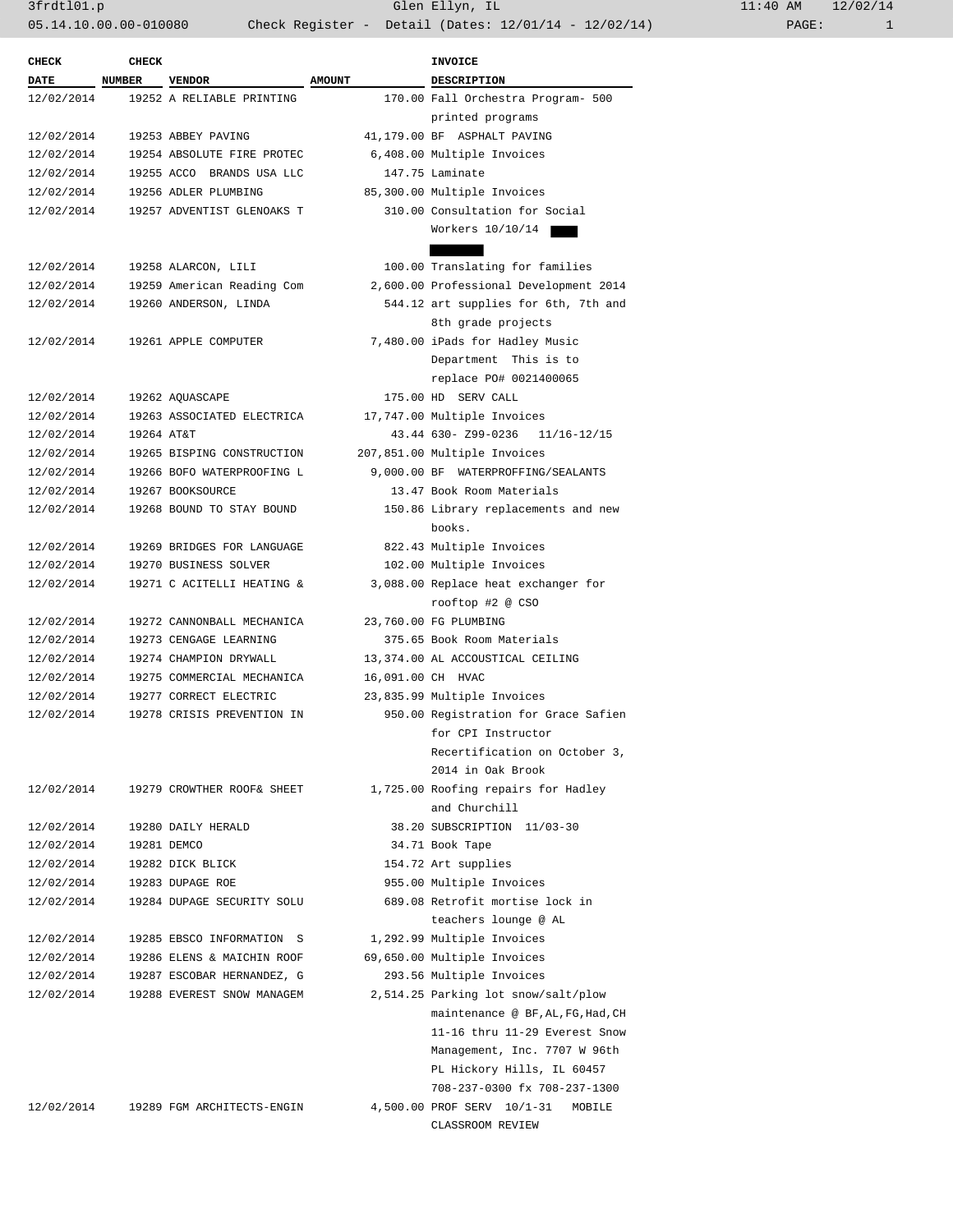3frdtl01.p Glen Ellyn, IL 11:40 AM 12/02/14 05.14.10.00.00-010080 Check Register - Detail (Dates: 12/01/14 - 12/02/14)

| <b>CHECK</b> | <b>CHECK</b> |                            |                   | <b>INVOICE</b>                         |  |
|--------------|--------------|----------------------------|-------------------|----------------------------------------|--|
| DATE NUMBER  |              | <b>VENDOR</b>              | <b>AMOUNT</b>     | DESCRIPTION                            |  |
| 12/02/2014   |              | 19252 A RELIABLE PRINTING  |                   | 170.00 Fall Orchestra Program- 500     |  |
|              |              |                            |                   | printed programs                       |  |
| 12/02/2014   |              | 19253 ABBEY PAVING         |                   | 41,179.00 BF ASPHALT PAVING            |  |
| 12/02/2014   |              | 19254 ABSOLUTE FIRE PROTEC |                   | 6,408.00 Multiple Invoices             |  |
| 12/02/2014   |              | 19255 ACCO BRANDS USA LLC  |                   | 147.75 Laminate                        |  |
| 12/02/2014   |              | 19256 ADLER PLUMBING       |                   | 85,300.00 Multiple Invoices            |  |
| 12/02/2014   |              | 19257 ADVENTIST GLENOAKS T |                   | 310.00 Consultation for Social         |  |
|              |              |                            |                   | Workers 10/10/14                       |  |
|              |              |                            |                   |                                        |  |
| 12/02/2014   |              | 19258 ALARCON, LILI        |                   | 100.00 Translating for families        |  |
| 12/02/2014   |              | 19259 American Reading Com |                   | 2,600.00 Professional Development 2014 |  |
| 12/02/2014   |              | 19260 ANDERSON, LINDA      |                   | 544.12 art supplies for 6th, 7th and   |  |
|              |              |                            |                   | 8th grade projects                     |  |
| 12/02/2014   |              | 19261 APPLE COMPUTER       |                   | 7,480.00 iPads for Hadley Music        |  |
|              |              |                            |                   | Department This is to                  |  |
|              |              |                            |                   |                                        |  |
|              |              |                            |                   | replace PO# 0021400065                 |  |
| 12/02/2014   |              | 19262 AQUASCAPE            |                   | 175.00 HD SERV CALL                    |  |
| 12/02/2014   |              | 19263 ASSOCIATED ELECTRICA |                   | 17,747.00 Multiple Invoices            |  |
| 12/02/2014   | 19264 AT&T   |                            |                   | 43.44 630- Z99-0236 11/16-12/15        |  |
| 12/02/2014   |              | 19265 BISPING CONSTRUCTION |                   | 207,851.00 Multiple Invoices           |  |
| 12/02/2014   |              | 19266 BOFO WATERPROOFING L |                   | 9,000.00 BF WATERPROFFING/SEALANTS     |  |
| 12/02/2014   |              | 19267 BOOKSOURCE           |                   | 13.47 Book Room Materials              |  |
| 12/02/2014   |              | 19268 BOUND TO STAY BOUND  |                   | 150.86 Library replacements and new    |  |
|              |              |                            |                   | books.                                 |  |
| 12/02/2014   |              | 19269 BRIDGES FOR LANGUAGE |                   | 822.43 Multiple Invoices               |  |
| 12/02/2014   |              | 19270 BUSINESS SOLVER      |                   | 102.00 Multiple Invoices               |  |
| 12/02/2014   |              | 19271 C ACITELLI HEATING & |                   | 3,088.00 Replace heat exchanger for    |  |
|              |              |                            |                   | rooftop #2 @ CSO                       |  |
| 12/02/2014   |              | 19272 CANNONBALL MECHANICA |                   | 23,760.00 FG PLUMBING                  |  |
| 12/02/2014   |              | 19273 CENGAGE LEARNING     |                   | 375.65 Book Room Materials             |  |
| 12/02/2014   |              | 19274 CHAMPION DRYWALL     |                   | 13,374.00 AL ACCOUSTICAL CEILING       |  |
| 12/02/2014   |              | 19275 COMMERCIAL MECHANICA | 16,091.00 CH HVAC |                                        |  |
| 12/02/2014   |              | 19277 CORRECT ELECTRIC     |                   | 23,835.99 Multiple Invoices            |  |
| 12/02/2014   |              | 19278 CRISIS PREVENTION IN |                   | 950.00 Registration for Grace Safien   |  |
|              |              |                            |                   | for CPI Instructor                     |  |
|              |              |                            |                   | Recertification on October 3,          |  |
|              |              |                            |                   | 2014 in Oak Brook                      |  |
| 12/02/2014   |              | 19279 CROWTHER ROOF& SHEET |                   | 1,725.00 Roofing repairs for Hadley    |  |
|              |              |                            |                   | and Churchill                          |  |
| 12/02/2014   |              | 19280 DAILY HERALD         |                   | 38.20 SUBSCRIPTION 11/03-30            |  |
| 12/02/2014   |              | 19281 DEMCO                |                   | 34.71 Book Tape                        |  |
| 12/02/2014   |              | 19282 DICK BLICK           |                   | 154.72 Art supplies                    |  |
| 12/02/2014   |              | 19283 DUPAGE ROE           |                   | 955.00 Multiple Invoices               |  |
| 12/02/2014   |              | 19284 DUPAGE SECURITY SOLU |                   | 689.08 Retrofit mortise lock in        |  |
|              |              |                            |                   | teachers lounge @ AL                   |  |
|              |              |                            |                   |                                        |  |
| 12/02/2014   |              | 19285 EBSCO INFORMATION S  |                   | 1,292.99 Multiple Invoices             |  |
| 12/02/2014   |              | 19286 ELENS & MAICHIN ROOF |                   | 69,650.00 Multiple Invoices            |  |
| 12/02/2014   |              | 19287 ESCOBAR HERNANDEZ, G |                   | 293.56 Multiple Invoices               |  |
| 12/02/2014   |              | 19288 EVEREST SNOW MANAGEM |                   | 2,514.25 Parking lot snow/salt/plow    |  |
|              |              |                            |                   | maintenance @ BF, AL, FG, Had, CH      |  |
|              |              |                            |                   | 11-16 thru 11-29 Everest Snow          |  |
|              |              |                            |                   | Management, Inc. 7707 W 96th           |  |
|              |              |                            |                   | PL Hickory Hills, IL 60457             |  |
|              |              |                            |                   | 708-237-0300 fx 708-237-1300           |  |
| 12/02/2014   |              | 19289 FGM ARCHITECTS-ENGIN |                   | 4,500.00 PROF SERV 10/1-31 MOBILE      |  |
|              |              |                            |                   | CLASSROOM REVIEW                       |  |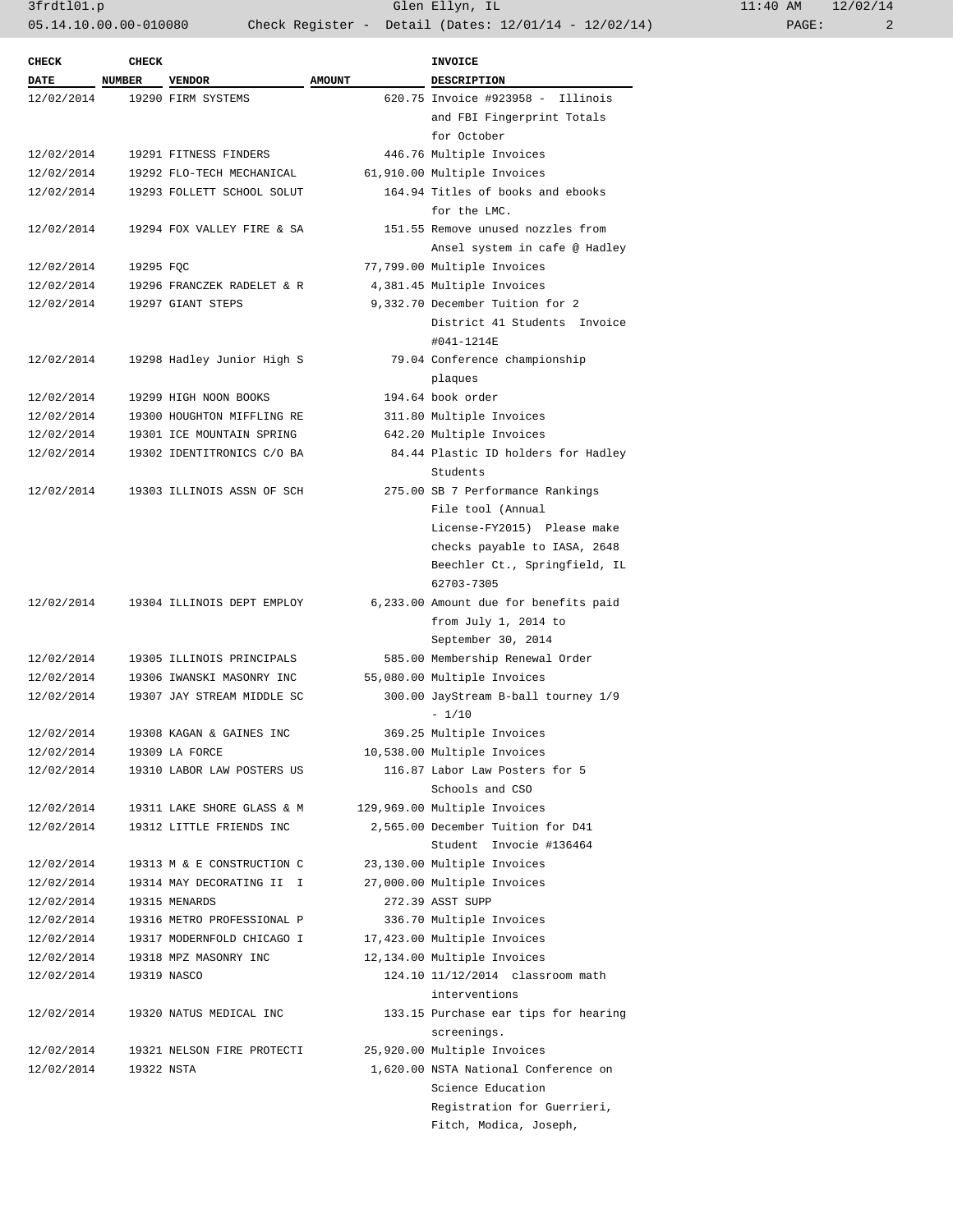3frdtl01.p Glen Ellyn, IL 11:40 AM 12/02/14 05.14.10.00.00-010080 Check Register - Detail (Dates: 12/01/14 - 12/02/14)

| <b>CHECK</b> | <b>CHECK</b> |                            |               | <b>INVOICE</b>                        |
|--------------|--------------|----------------------------|---------------|---------------------------------------|
| <b>DATE</b>  | NUMBER       | <b>VENDOR</b>              | <b>AMOUNT</b> | <b>DESCRIPTION</b>                    |
| 12/02/2014   |              | 19290 FIRM SYSTEMS         |               | 620.75 Invoice #923958 - Illinois     |
|              |              |                            |               | and FBI Fingerprint Totals            |
|              |              |                            |               | for October                           |
| 12/02/2014   |              | 19291 FITNESS FINDERS      |               | 446.76 Multiple Invoices              |
| 12/02/2014   |              | 19292 FLO-TECH MECHANICAL  |               | 61,910.00 Multiple Invoices           |
| 12/02/2014   |              | 19293 FOLLETT SCHOOL SOLUT |               | 164.94 Titles of books and ebooks     |
|              |              |                            |               | for the LMC.                          |
| 12/02/2014   |              | 19294 FOX VALLEY FIRE & SA |               | 151.55 Remove unused nozzles from     |
|              |              |                            |               | Ansel system in cafe @ Hadley         |
| 12/02/2014   | 19295 FQC    |                            |               | 77,799.00 Multiple Invoices           |
| 12/02/2014   |              | 19296 FRANCZEK RADELET & R |               | 4,381.45 Multiple Invoices            |
| 12/02/2014   |              | 19297 GIANT STEPS          |               | 9,332.70 December Tuition for 2       |
|              |              |                            |               | District 41 Students Invoice          |
|              |              |                            |               | #041-1214E                            |
| 12/02/2014   |              | 19298 Hadley Junior High S |               | 79.04 Conference championship         |
|              |              |                            |               | plaques                               |
| 12/02/2014   |              | 19299 HIGH NOON BOOKS      |               | 194.64 book order                     |
| 12/02/2014   |              | 19300 HOUGHTON MIFFLING RE |               | 311.80 Multiple Invoices              |
| 12/02/2014   |              | 19301 ICE MOUNTAIN SPRING  |               | 642.20 Multiple Invoices              |
| 12/02/2014   |              | 19302 IDENTITRONICS C/O BA |               | 84.44 Plastic ID holders for Hadley   |
|              |              |                            |               | Students                              |
| 12/02/2014   |              | 19303 ILLINOIS ASSN OF SCH |               | 275.00 SB 7 Performance Rankings      |
|              |              |                            |               | File tool (Annual                     |
|              |              |                            |               | License-FY2015) Please make           |
|              |              |                            |               | checks payable to IASA, 2648          |
|              |              |                            |               | Beechler Ct., Springfield, IL         |
|              |              |                            |               | 62703-7305                            |
| 12/02/2014   |              | 19304 ILLINOIS DEPT EMPLOY |               | 6,233.00 Amount due for benefits paid |
|              |              |                            |               | from July 1, 2014 to                  |
|              |              |                            |               | September 30, 2014                    |
| 12/02/2014   |              | 19305 ILLINOIS PRINCIPALS  |               | 585.00 Membership Renewal Order       |
| 12/02/2014   |              | 19306 IWANSKI MASONRY INC  |               | 55,080.00 Multiple Invoices           |
| 12/02/2014   |              | 19307 JAY STREAM MIDDLE SC |               | 300.00 JayStream B-ball tourney 1/9   |
|              |              |                            |               | $-1/10$                               |
| 12/02/2014   |              | 19308 KAGAN & GAINES INC   |               | 369.25 Multiple Invoices              |
| 12/02/2014   |              | 19309 LA FORCE             |               | 10,538.00 Multiple Invoices           |
| 12/02/2014   |              | 19310 LABOR LAW POSTERS US |               | 116.87 Labor Law Posters for 5        |
|              |              |                            |               | Schools and CSO                       |
| 12/02/2014   |              | 19311 LAKE SHORE GLASS & M |               | 129,969.00 Multiple Invoices          |
| 12/02/2014   |              | 19312 LITTLE FRIENDS INC   |               | 2,565.00 December Tuition for D41     |
|              |              |                            |               | Student Invocie #136464               |
| 12/02/2014   |              | 19313 M & E CONSTRUCTION C |               | 23,130.00 Multiple Invoices           |
| 12/02/2014   |              | 19314 MAY DECORATING II I  |               | 27,000.00 Multiple Invoices           |
| 12/02/2014   |              | 19315 MENARDS              |               | 272.39 ASST SUPP                      |
| 12/02/2014   |              | 19316 METRO PROFESSIONAL P |               | 336.70 Multiple Invoices              |
| 12/02/2014   |              | 19317 MODERNFOLD CHICAGO I |               | 17,423.00 Multiple Invoices           |
| 12/02/2014   |              | 19318 MPZ MASONRY INC      |               | 12,134.00 Multiple Invoices           |
| 12/02/2014   |              | 19319 NASCO                |               | 124.10 11/12/2014 classroom math      |
|              |              |                            |               | interventions                         |
| 12/02/2014   |              | 19320 NATUS MEDICAL INC    |               | 133.15 Purchase ear tips for hearing  |
|              |              |                            |               | screenings.                           |
|              |              |                            |               |                                       |
| 12/02/2014   |              | 19321 NELSON FIRE PROTECTI |               | 25,920.00 Multiple Invoices           |
| 12/02/2014   | 19322 NSTA   |                            |               | 1,620.00 NSTA National Conference on  |
|              |              |                            |               | Science Education                     |
|              |              |                            |               | Registration for Guerrieri,           |
|              |              |                            |               | Fitch, Modica, Joseph,                |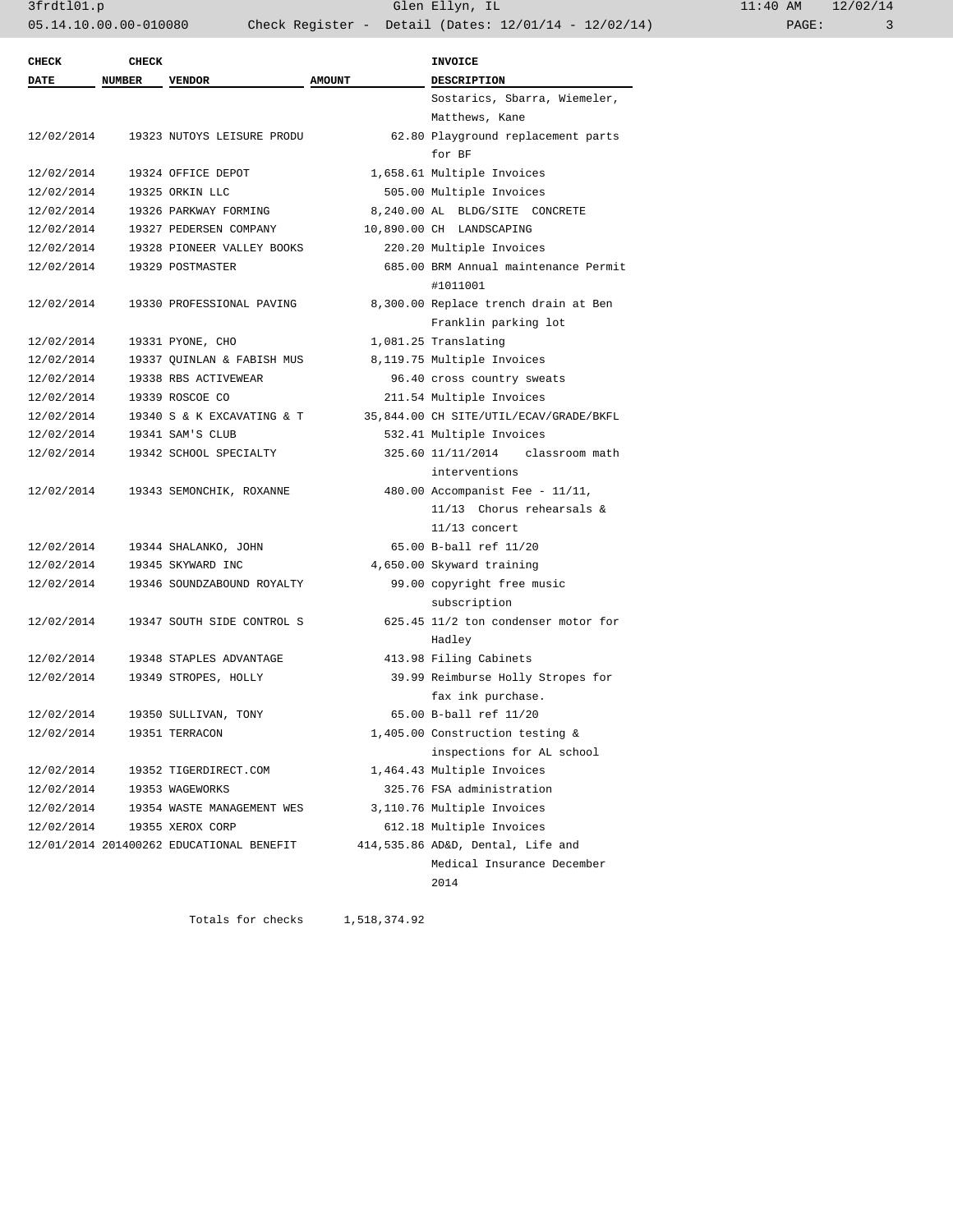| <b>CHECK</b> | <b>CHECK</b>  |                                          |               | <b>INVOICE</b>                         |
|--------------|---------------|------------------------------------------|---------------|----------------------------------------|
| DATE         | <b>NUMBER</b> | <b>VENDOR</b>                            | <b>AMOUNT</b> | <b>DESCRIPTION</b>                     |
|              |               |                                          |               | Sostarics, Sbarra, Wiemeler,           |
|              |               |                                          |               | Matthews, Kane                         |
| 12/02/2014   |               | 19323 NUTOYS LEISURE PRODU               |               | 62.80 Playground replacement parts     |
|              |               |                                          |               | for BF                                 |
| 12/02/2014   |               | 19324 OFFICE DEPOT                       |               | 1,658.61 Multiple Invoices             |
| 12/02/2014   |               | 19325 ORKIN LLC                          |               | 505.00 Multiple Invoices               |
| 12/02/2014   |               | 19326 PARKWAY FORMING                    |               | 8,240.00 AL BLDG/SITE CONCRETE         |
| 12/02/2014   |               | 19327 PEDERSEN COMPANY                   |               | 10,890.00 CH LANDSCAPING               |
| 12/02/2014   |               | 19328 PIONEER VALLEY BOOKS               |               | 220.20 Multiple Invoices               |
| 12/02/2014   |               | 19329 POSTMASTER                         |               | 685.00 BRM Annual maintenance Permit   |
|              |               |                                          |               | #1011001                               |
| 12/02/2014   |               | 19330 PROFESSIONAL PAVING                |               | 8,300.00 Replace trench drain at Ben   |
|              |               |                                          |               | Franklin parking lot                   |
| 12/02/2014   |               | 19331 PYONE, CHO                         |               | 1,081.25 Translating                   |
| 12/02/2014   |               | 19337 QUINLAN & FABISH MUS               |               | 8,119.75 Multiple Invoices             |
| 12/02/2014   |               | 19338 RBS ACTIVEWEAR                     |               | 96.40 cross country sweats             |
| 12/02/2014   |               | 19339 ROSCOE CO                          |               | 211.54 Multiple Invoices               |
| 12/02/2014   |               | 19340 S & K EXCAVATING & T               |               | 35,844.00 CH SITE/UTIL/ECAV/GRADE/BKFL |
| 12/02/2014   |               | 19341 SAM'S CLUB                         |               | 532.41 Multiple Invoices               |
| 12/02/2014   |               | 19342 SCHOOL SPECIALTY                   |               | 325.60 11/11/2014<br>classroom math    |
|              |               |                                          |               | interventions                          |
| 12/02/2014   |               | 19343 SEMONCHIK, ROXANNE                 |               | 480.00 Accompanist Fee - $11/11$ ,     |
|              |               |                                          |               | $11/13$ Chorus rehearsals &            |
|              |               |                                          |               | $11/13$ concert                        |
| 12/02/2014   |               | 19344 SHALANKO, JOHN                     |               | 65.00 B-ball ref 11/20                 |
| 12/02/2014   |               | 19345 SKYWARD INC                        |               | 4,650.00 Skyward training              |
| 12/02/2014   |               | 19346 SOUNDZABOUND ROYALTY               |               | 99.00 copyright free music             |
|              |               |                                          |               | subscription                           |
| 12/02/2014   |               | 19347 SOUTH SIDE CONTROL S               |               | 625.45 11/2 ton condenser motor for    |
|              |               |                                          |               | Hadley                                 |
| 12/02/2014   |               | 19348 STAPLES ADVANTAGE                  |               | 413.98 Filing Cabinets                 |
| 12/02/2014   |               | 19349 STROPES, HOLLY                     |               | 39.99 Reimburse Holly Stropes for      |
|              |               |                                          |               | fax ink purchase.                      |
| 12/02/2014   |               | 19350 SULLIVAN, TONY                     |               | 65.00 B-ball ref 11/20                 |
| 12/02/2014   |               | 19351 TERRACON                           |               | 1,405.00 Construction testing &        |
|              |               |                                          |               | inspections for AL school              |
| 12/02/2014   |               | 19352 TIGERDIRECT.COM                    |               | 1,464.43 Multiple Invoices             |
| 12/02/2014   |               | 19353 WAGEWORKS                          |               | 325.76 FSA administration              |
| 12/02/2014   |               | 19354 WASTE MANAGEMENT WES               |               | 3,110.76 Multiple Invoices             |
| 12/02/2014   |               | 19355 XEROX CORP                         |               | 612.18 Multiple Invoices               |
|              |               | 12/01/2014 201400262 EDUCATIONAL BENEFIT |               | 414,535.86 AD&D, Dental, Life and      |
|              |               |                                          |               | Medical Insurance December             |
|              |               |                                          |               | 2014                                   |
|              |               |                                          |               |                                        |

Totals for checks 1,518,374.92